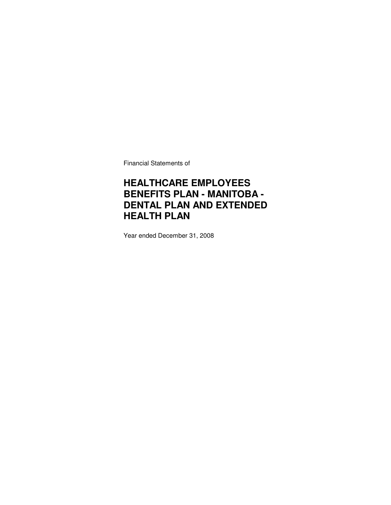Financial Statements of

### **HEALTHCARE EMPLOYEES BENEFITS PLAN - MANITOBA - DENTAL PLAN AND EXTENDED HEALTH PLAN**

Year ended December 31, 2008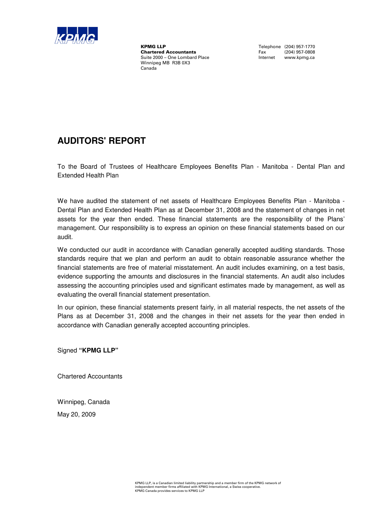

**KPMG LLP**<br> **Chartered Accountants**<br> **Chartered Accountants**<br>
Tax (204) 957-0808 **Chartered Accountants** Fax (204) 957-0808<br>
Suite 2000 – One Lombard Place **Face Contract Contract Contract Contract** Contract Contract Contract Contract Contract Contract Contract Contract Contract Contract Contract Contr Suite 2000 – One Lombard Place Winnipeg MB R3B 0X3 Canada

### **AUDITORS' REPORT**

To the Board of Trustees of Healthcare Employees Benefits Plan - Manitoba - Dental Plan and Extended Health Plan

We have audited the statement of net assets of Healthcare Employees Benefits Plan - Manitoba -Dental Plan and Extended Health Plan as at December 31, 2008 and the statement of changes in net assets for the year then ended. These financial statements are the responsibility of the Plans' management. Our responsibility is to express an opinion on these financial statements based on our audit.

We conducted our audit in accordance with Canadian generally accepted auditing standards. Those standards require that we plan and perform an audit to obtain reasonable assurance whether the financial statements are free of material misstatement. An audit includes examining, on a test basis, evidence supporting the amounts and disclosures in the financial statements. An audit also includes assessing the accounting principles used and significant estimates made by management, as well as evaluating the overall financial statement presentation.

In our opinion, these financial statements present fairly, in all material respects, the net assets of the Plans as at December 31, 2008 and the changes in their net assets for the year then ended in accordance with Canadian generally accepted accounting principles.

Signed **"KPMG LLP"**

Chartered Accountants

Winnipeg, Canada

May 20, 2009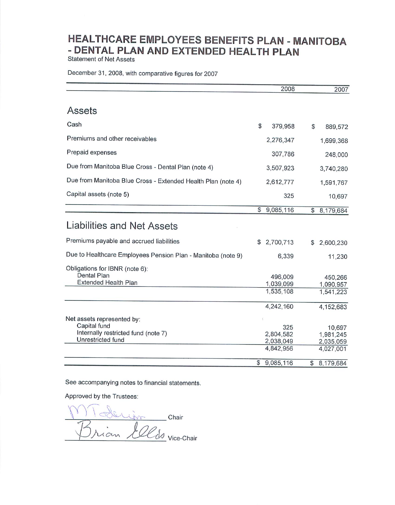**Statement of Net Assets** 

December 31, 2008, with comparative figures for 2007

|                                                              |              | 2008                   | 2007                   |
|--------------------------------------------------------------|--------------|------------------------|------------------------|
|                                                              |              |                        |                        |
| Assets                                                       |              |                        |                        |
| Cash                                                         | \$           | 379,958                | \$<br>889,572          |
| Premiums and other receivables                               |              | 2,276,347              | 1,699,368              |
| Prepaid expenses                                             |              | 307,786                | 248,000                |
| Due from Manitoba Blue Cross - Dental Plan (note 4)          |              | 3,507,923              | 3,740,280              |
| Due from Manitoba Blue Cross - Extended Health Plan (note 4) |              | 2,612,777              | 1,591,767              |
| Capital assets (note 5)                                      |              | 325                    | 10,697                 |
|                                                              | $\mathbb{S}$ | 9,085,116              | \$<br>8,179,684        |
| Liabilities and Net Assets                                   |              |                        |                        |
| Premiums payable and accrued liabilities                     | \$           | 2,700,713              | \$<br>2,600,230        |
| Due to Healthcare Employees Pension Plan - Manitoba (note 9) |              | 6,339                  | 11,230                 |
| Obligations for IBNR (note 6):                               |              |                        |                        |
| Dental Plan                                                  |              | 496,009                | 450,266                |
| Extended Health Plan                                         |              | 1,039,099              | 1,090,957              |
|                                                              |              | 1,535,108              | 1,541,223              |
|                                                              |              | 4,242,160              | 4,152,683              |
| Net assets represented by:                                   |              |                        |                        |
| Capital fund                                                 |              | 325                    | 10,697                 |
| Internally restricted fund (note 7)<br>Unrestricted fund     |              | 2,804,582              | 1,981,245              |
|                                                              |              | 2,038,049<br>4,842,956 | 2,035,059<br>4,027,001 |
|                                                              |              |                        |                        |
|                                                              | \$           | 9,085,116              | \$<br>8,179,684        |

See accompanying notes to financial statements.

Approved by the Trustees:

Chair ian *LOCS* vice-chair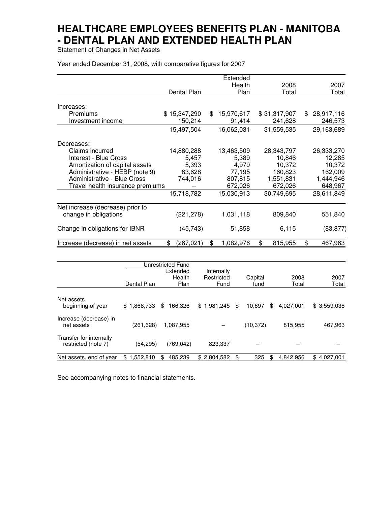Statement of Changes in Net Assets

Year ended December 31, 2008, with comparative figures for 2007

| 2007<br>Total<br>28,917,116<br>246,573 |
|----------------------------------------|
|                                        |
|                                        |
|                                        |
|                                        |
|                                        |
|                                        |
| 29,163,689                             |
|                                        |
| 26,333,270                             |
| 12,285                                 |
| 10,372                                 |
| 162,009                                |
| 1,444,946                              |
| 648,967                                |
| 28,611,849                             |
|                                        |
| 551,840                                |
| (83, 877)                              |
| 467,963                                |
|                                        |

|                                                |                 | Unrestricted Fund<br>Extended<br>Health | Internally<br>Restricted | Capital      | 2008            | 2007            |
|------------------------------------------------|-----------------|-----------------------------------------|--------------------------|--------------|-----------------|-----------------|
|                                                | Dental Plan     | Plan                                    | Fund                     | fund         | Total           | Total           |
| Net assets.<br>beginning of year               | 1.868.733<br>\$ | \$<br>166.326                           | \$1,981,245              | \$<br>10.697 | \$<br>4.027.001 | \$3,559,038     |
| Increase (decrease) in<br>net assets           | (261,628)       | 1,087,955                               |                          | (10,372)     | 815,955         | 467,963         |
| Transfer for internally<br>restricted (note 7) | (54,295)        | (769, 042)                              | 823,337                  |              |                 |                 |
| Net assets, end of year                        | 1,552,810<br>\$ | 485,239<br>\$                           | \$2,804,582              | \$<br>325    | \$<br>4,842,956 | 4,027,001<br>\$ |

See accompanying notes to financial statements.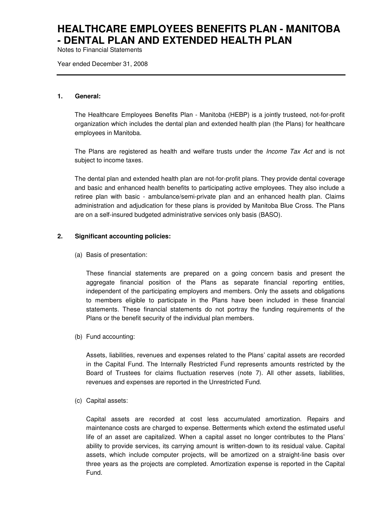Notes to Financial Statements

Year ended December 31, 2008

#### **1. General:**

The Healthcare Employees Benefits Plan - Manitoba (HEBP) is a jointly trusteed, not-for-profit organization which includes the dental plan and extended health plan (the Plans) for healthcare employees in Manitoba.

The Plans are registered as health and welfare trusts under the *Income Tax Act* and is not subject to income taxes.

The dental plan and extended health plan are not-for-profit plans. They provide dental coverage and basic and enhanced health benefits to participating active employees. They also include a retiree plan with basic - ambulance/semi-private plan and an enhanced health plan. Claims administration and adjudication for these plans is provided by Manitoba Blue Cross. The Plans are on a self-insured budgeted administrative services only basis (BASO).

#### **2. Significant accounting policies:**

(a) Basis of presentation:

These financial statements are prepared on a going concern basis and present the aggregate financial position of the Plans as separate financial reporting entities, independent of the participating employers and members. Only the assets and obligations to members eligible to participate in the Plans have been included in these financial statements. These financial statements do not portray the funding requirements of the Plans or the benefit security of the individual plan members.

(b) Fund accounting:

Assets, liabilities, revenues and expenses related to the Plans' capital assets are recorded in the Capital Fund. The Internally Restricted Fund represents amounts restricted by the Board of Trustees for claims fluctuation reserves (note 7). All other assets, liabilities, revenues and expenses are reported in the Unrestricted Fund.

(c) Capital assets:

Capital assets are recorded at cost less accumulated amortization. Repairs and maintenance costs are charged to expense. Betterments which extend the estimated useful life of an asset are capitalized. When a capital asset no longer contributes to the Plans' ability to provide services, its carrying amount is written-down to its residual value. Capital assets, which include computer projects, will be amortized on a straight-line basis over three years as the projects are completed. Amortization expense is reported in the Capital Fund.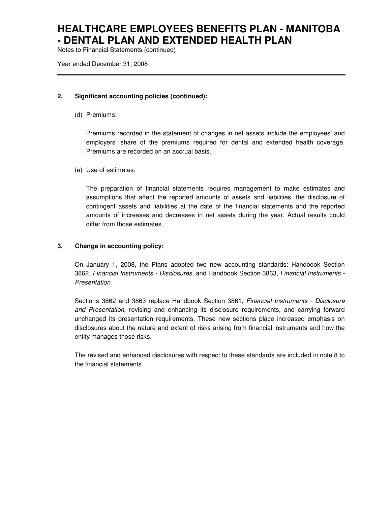Notes to Financial Statements (continued)

Year ended December 31, 2008

#### **2. Significant accounting policies (continued):**

(d) Premiums:

Premiums recorded in the statement of changes in net assets include the employees' and employers' share of the premiums required for dental and extended health coverage. Premiums are recorded on an accrual basis.

(e) Use of estimates:

The preparation of financial statements requires management to make estimates and assumptions that affect the reported amounts of assets and liabilities, the disclosure of contingent assets and liabilities at the date of the financial statements and the reported amounts of increases and decreases in net assets during the year. Actual results could differ from those estimates.

#### **3. Change in accounting policy:**

On January 1, 2008, the Plans adopted two new accounting standards: Handbook Section 3862, Financial Instruments - Disclosures, and Handbook Section 3863, Financial Instruments - Presentation.

Sections 3862 and 3863 replace Handbook Section 3861, Financial Instruments - Disclosure and Presentation, revising and enhancing its disclosure requirements, and carrying forward unchanged its presentation requirements. These new sections place increased emphasis on disclosures about the nature and extent of risks arising from financial instruments and how the entity manages those risks.

The revised and enhanced disclosures with respect to these standards are included in note 8 to the financial statements.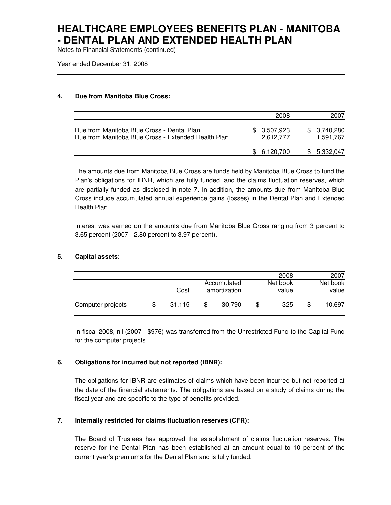Notes to Financial Statements (continued)

Year ended December 31, 2008

#### **4. Due from Manitoba Blue Cross:**

|                                                                                                   | 2008                     | 2007                     |
|---------------------------------------------------------------------------------------------------|--------------------------|--------------------------|
| Due from Manitoba Blue Cross - Dental Plan<br>Due from Manitoba Blue Cross - Extended Health Plan | \$3,507,923<br>2.612.777 | \$3,740,280<br>1.591.767 |
|                                                                                                   | \$6.120.700              | 5,332,047                |

The amounts due from Manitoba Blue Cross are funds held by Manitoba Blue Cross to fund the Plan's obligations for IBNR, which are fully funded, and the claims fluctuation reserves, which are partially funded as disclosed in note 7. In addition, the amounts due from Manitoba Blue Cross include accumulated annual experience gains (losses) in the Dental Plan and Extended Health Plan.

Interest was earned on the amounts due from Manitoba Blue Cross ranging from 3 percent to 3.65 percent (2007 - 2.80 percent to 3.97 percent).

#### **5. Capital assets:**

|                   |     |        |                             | 2008              |   | 2007              |
|-------------------|-----|--------|-----------------------------|-------------------|---|-------------------|
|                   |     | Cost   | Accumulated<br>amortization | Net book<br>value |   | Net book<br>value |
| Computer projects | \$. | 31.115 | \$<br>30,790                | \$<br>325         | S | 10.697            |

In fiscal 2008, nil (2007 - \$976) was transferred from the Unrestricted Fund to the Capital Fund for the computer projects.

#### **6. Obligations for incurred but not reported (IBNR):**

The obligations for IBNR are estimates of claims which have been incurred but not reported at the date of the financial statements. The obligations are based on a study of claims during the fiscal year and are specific to the type of benefits provided.

#### **7. Internally restricted for claims fluctuation reserves (CFR):**

The Board of Trustees has approved the establishment of claims fluctuation reserves. The reserve for the Dental Plan has been established at an amount equal to 10 percent of the current year's premiums for the Dental Plan and is fully funded.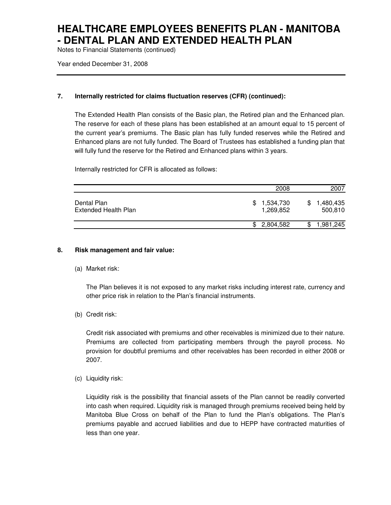Notes to Financial Statements (continued)

Year ended December 31, 2008

#### **7. Internally restricted for claims fluctuation reserves (CFR) (continued):**

The Extended Health Plan consists of the Basic plan, the Retired plan and the Enhanced plan. The reserve for each of these plans has been established at an amount equal to 15 percent of the current year's premiums. The Basic plan has fully funded reserves while the Retired and Enhanced plans are not fully funded. The Board of Trustees has established a funding plan that will fully fund the reserve for the Retired and Enhanced plans within 3 years.

Internally restricted for CFR is allocated as follows:

|                                     | 2008                          | 2007                 |
|-------------------------------------|-------------------------------|----------------------|
| Dental Plan<br>Extended Health Plan | 1,534,730<br>\$.<br>1,269,852 | 1,480,435<br>500,810 |
|                                     | \$2,804,582                   | 1,981,245<br>S       |

#### **8. Risk management and fair value:**

(a) Market risk:

The Plan believes it is not exposed to any market risks including interest rate, currency and other price risk in relation to the Plan's financial instruments.

(b) Credit risk:

Credit risk associated with premiums and other receivables is minimized due to their nature. Premiums are collected from participating members through the payroll process. No provision for doubtful premiums and other receivables has been recorded in either 2008 or 2007.

(c) Liquidity risk:

Liquidity risk is the possibility that financial assets of the Plan cannot be readily converted into cash when required. Liquidity risk is managed through premiums received being held by Manitoba Blue Cross on behalf of the Plan to fund the Plan's obligations. The Plan's premiums payable and accrued liabilities and due to HEPP have contracted maturities of less than one year.